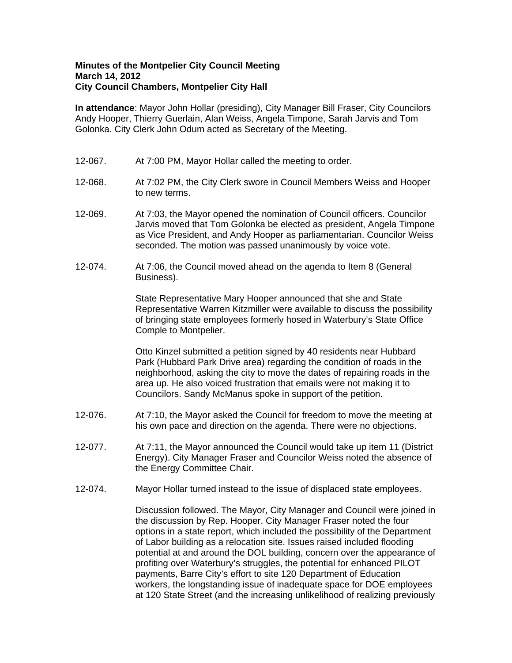## **Minutes of the Montpelier City Council Meeting March 14, 2012 City Council Chambers, Montpelier City Hall**

**In attendance**: Mayor John Hollar (presiding), City Manager Bill Fraser, City Councilors Andy Hooper, Thierry Guerlain, Alan Weiss, Angela Timpone, Sarah Jarvis and Tom Golonka. City Clerk John Odum acted as Secretary of the Meeting.

- 12-067. At 7:00 PM, Mayor Hollar called the meeting to order.
- 12-068. At 7:02 PM, the City Clerk swore in Council Members Weiss and Hooper to new terms.
- 12-069. At 7:03, the Mayor opened the nomination of Council officers. Councilor Jarvis moved that Tom Golonka be elected as president, Angela Timpone as Vice President, and Andy Hooper as parliamentarian. Councilor Weiss seconded. The motion was passed unanimously by voice vote.
- 12-074. At 7:06, the Council moved ahead on the agenda to Item 8 (General Business).

State Representative Mary Hooper announced that she and State Representative Warren Kitzmiller were available to discuss the possibility of bringing state employees formerly hosed in Waterbury's State Office Comple to Montpelier.

Otto Kinzel submitted a petition signed by 40 residents near Hubbard Park (Hubbard Park Drive area) regarding the condition of roads in the neighborhood, asking the city to move the dates of repairing roads in the area up. He also voiced frustration that emails were not making it to Councilors. Sandy McManus spoke in support of the petition.

- 12-076. At 7:10, the Mayor asked the Council for freedom to move the meeting at his own pace and direction on the agenda. There were no objections.
- 12-077. At 7:11, the Mayor announced the Council would take up item 11 (District Energy). City Manager Fraser and Councilor Weiss noted the absence of the Energy Committee Chair.
- 12-074. Mayor Hollar turned instead to the issue of displaced state employees.

Discussion followed. The Mayor, City Manager and Council were joined in the discussion by Rep. Hooper. City Manager Fraser noted the four options in a state report, which included the possibility of the Department of Labor building as a relocation site. Issues raised included flooding potential at and around the DOL building, concern over the appearance of profiting over Waterbury's struggles, the potential for enhanced PILOT payments, Barre City's effort to site 120 Department of Education workers, the longstanding issue of inadequate space for DOE employees at 120 State Street (and the increasing unlikelihood of realizing previously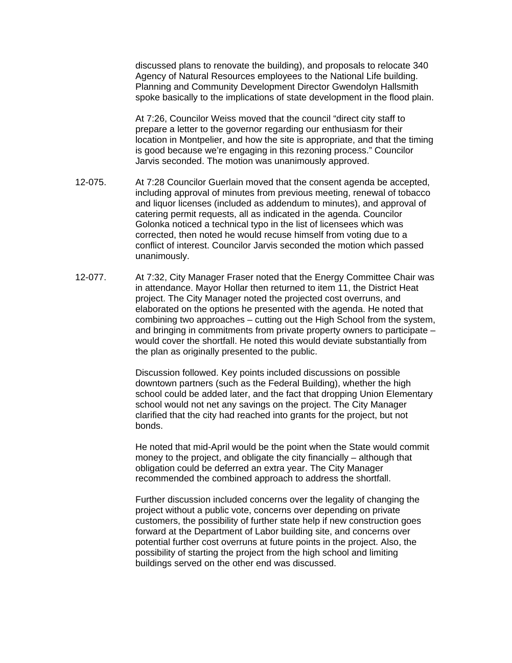discussed plans to renovate the building), and proposals to relocate 340 Agency of Natural Resources employees to the National Life building. Planning and Community Development Director Gwendolyn Hallsmith spoke basically to the implications of state development in the flood plain.

At 7:26, Councilor Weiss moved that the council "direct city staff to prepare a letter to the governor regarding our enthusiasm for their location in Montpelier, and how the site is appropriate, and that the timing is good because we're engaging in this rezoning process." Councilor Jarvis seconded. The motion was unanimously approved.

- 12-075. At 7:28 Councilor Guerlain moved that the consent agenda be accepted, including approval of minutes from previous meeting, renewal of tobacco and liquor licenses (included as addendum to minutes), and approval of catering permit requests, all as indicated in the agenda. Councilor Golonka noticed a technical typo in the list of licensees which was corrected, then noted he would recuse himself from voting due to a conflict of interest. Councilor Jarvis seconded the motion which passed unanimously.
- 12-077. At 7:32, City Manager Fraser noted that the Energy Committee Chair was in attendance. Mayor Hollar then returned to item 11, the District Heat project. The City Manager noted the projected cost overruns, and elaborated on the options he presented with the agenda. He noted that combining two approaches – cutting out the High School from the system, and bringing in commitments from private property owners to participate – would cover the shortfall. He noted this would deviate substantially from the plan as originally presented to the public.

Discussion followed. Key points included discussions on possible downtown partners (such as the Federal Building), whether the high school could be added later, and the fact that dropping Union Elementary school would not net any savings on the project. The City Manager clarified that the city had reached into grants for the project, but not bonds.

He noted that mid-April would be the point when the State would commit money to the project, and obligate the city financially – although that obligation could be deferred an extra year. The City Manager recommended the combined approach to address the shortfall.

Further discussion included concerns over the legality of changing the project without a public vote, concerns over depending on private customers, the possibility of further state help if new construction goes forward at the Department of Labor building site, and concerns over potential further cost overruns at future points in the project. Also, the possibility of starting the project from the high school and limiting buildings served on the other end was discussed.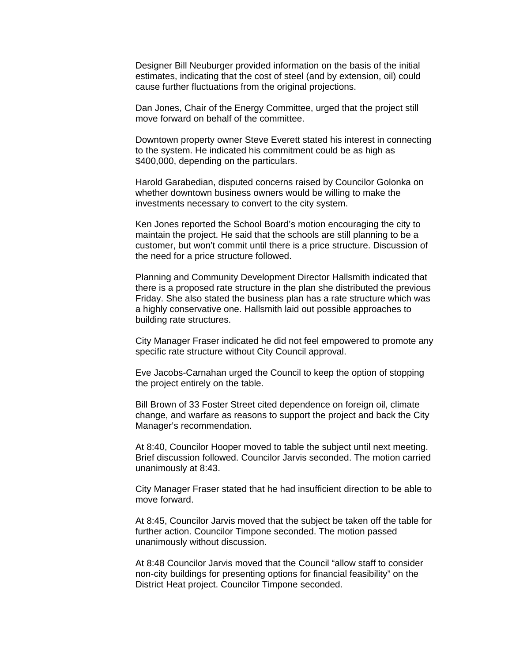Designer Bill Neuburger provided information on the basis of the initial estimates, indicating that the cost of steel (and by extension, oil) could cause further fluctuations from the original projections.

Dan Jones, Chair of the Energy Committee, urged that the project still move forward on behalf of the committee.

Downtown property owner Steve Everett stated his interest in connecting to the system. He indicated his commitment could be as high as \$400,000, depending on the particulars.

Harold Garabedian, disputed concerns raised by Councilor Golonka on whether downtown business owners would be willing to make the investments necessary to convert to the city system.

Ken Jones reported the School Board's motion encouraging the city to maintain the project. He said that the schools are still planning to be a customer, but won't commit until there is a price structure. Discussion of the need for a price structure followed.

Planning and Community Development Director Hallsmith indicated that there is a proposed rate structure in the plan she distributed the previous Friday. She also stated the business plan has a rate structure which was a highly conservative one. Hallsmith laid out possible approaches to building rate structures.

City Manager Fraser indicated he did not feel empowered to promote any specific rate structure without City Council approval.

Eve Jacobs-Carnahan urged the Council to keep the option of stopping the project entirely on the table.

Bill Brown of 33 Foster Street cited dependence on foreign oil, climate change, and warfare as reasons to support the project and back the City Manager's recommendation.

At 8:40, Councilor Hooper moved to table the subject until next meeting. Brief discussion followed. Councilor Jarvis seconded. The motion carried unanimously at 8:43.

City Manager Fraser stated that he had insufficient direction to be able to move forward.

At 8:45, Councilor Jarvis moved that the subject be taken off the table for further action. Councilor Timpone seconded. The motion passed unanimously without discussion.

At 8:48 Councilor Jarvis moved that the Council "allow staff to consider non-city buildings for presenting options for financial feasibility" on the District Heat project. Councilor Timpone seconded.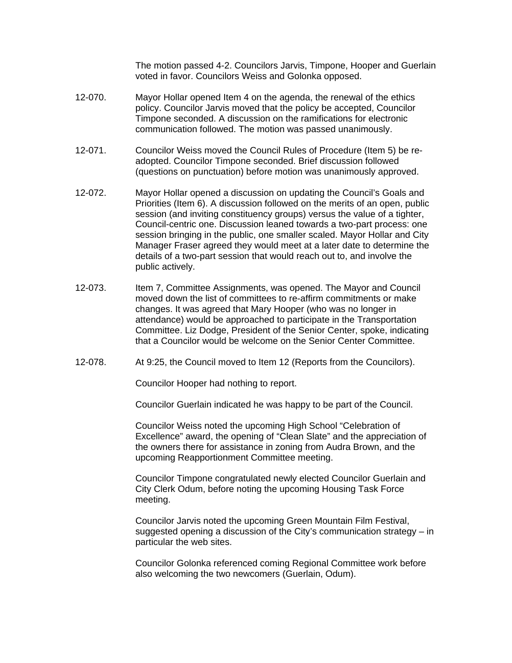The motion passed 4-2. Councilors Jarvis, Timpone, Hooper and Guerlain voted in favor. Councilors Weiss and Golonka opposed.

- 12-070. Mayor Hollar opened Item 4 on the agenda, the renewal of the ethics policy. Councilor Jarvis moved that the policy be accepted, Councilor Timpone seconded. A discussion on the ramifications for electronic communication followed. The motion was passed unanimously.
- 12-071. Councilor Weiss moved the Council Rules of Procedure (Item 5) be readopted. Councilor Timpone seconded. Brief discussion followed (questions on punctuation) before motion was unanimously approved.
- 12-072. Mayor Hollar opened a discussion on updating the Council's Goals and Priorities (Item 6). A discussion followed on the merits of an open, public session (and inviting constituency groups) versus the value of a tighter, Council-centric one. Discussion leaned towards a two-part process: one session bringing in the public, one smaller scaled. Mayor Hollar and City Manager Fraser agreed they would meet at a later date to determine the details of a two-part session that would reach out to, and involve the public actively.
- 12-073. Item 7, Committee Assignments, was opened. The Mayor and Council moved down the list of committees to re-affirm commitments or make changes. It was agreed that Mary Hooper (who was no longer in attendance) would be approached to participate in the Transportation Committee. Liz Dodge, President of the Senior Center, spoke, indicating that a Councilor would be welcome on the Senior Center Committee.
- 12-078. At 9:25, the Council moved to Item 12 (Reports from the Councilors).

Councilor Hooper had nothing to report.

Councilor Guerlain indicated he was happy to be part of the Council.

Councilor Weiss noted the upcoming High School "Celebration of Excellence" award, the opening of "Clean Slate" and the appreciation of the owners there for assistance in zoning from Audra Brown, and the upcoming Reapportionment Committee meeting.

Councilor Timpone congratulated newly elected Councilor Guerlain and City Clerk Odum, before noting the upcoming Housing Task Force meeting.

Councilor Jarvis noted the upcoming Green Mountain Film Festival, suggested opening a discussion of the City's communication strategy – in particular the web sites.

Councilor Golonka referenced coming Regional Committee work before also welcoming the two newcomers (Guerlain, Odum).